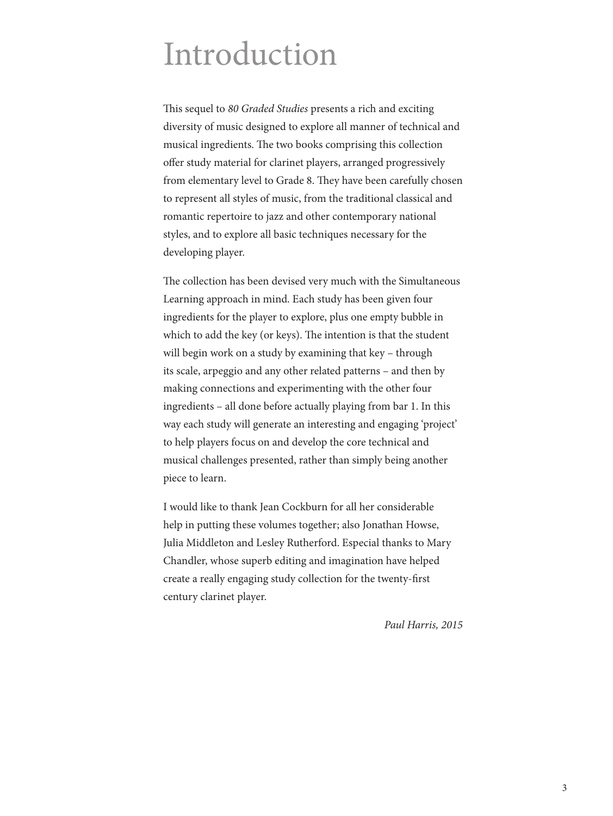## Introduction

This sequel to *80 Graded Studies* presents a rich and exciting diversity of music designed to explore all manner of technical and musical ingredients. The two books comprising this collection offer study material for clarinet players, arranged progressively from elementary level to Grade 8. They have been carefully chosen to represent all styles of music, from the traditional classical and romantic repertoire to jazz and other contemporary national styles, and to explore all basic techniques necessary for the developing player.

The collection has been devised very much with the Simultaneous Learning approach in mind. Each study has been given four ingredients for the player to explore, plus one empty bubble in which to add the key (or keys). The intention is that the student will begin work on a study by examining that key – through its scale, arpeggio and any other related patterns – and then by making connections and experimenting with the other four ingredients – all done before actually playing from bar 1. In this way each study will generate an interesting and engaging 'project' to help players focus on and develop the core technical and musical challenges presented, rather than simply being another piece to learn.

I would like to thank Jean Cockburn for all her considerable help in putting these volumes together; also Jonathan Howse, Julia Middleton and Lesley Rutherford. Especial thanks to Mary Chandler, whose superb editing and imagination have helped create a really engaging study collection for the twenty-first century clarinet player.

*Paul Harris, 2015*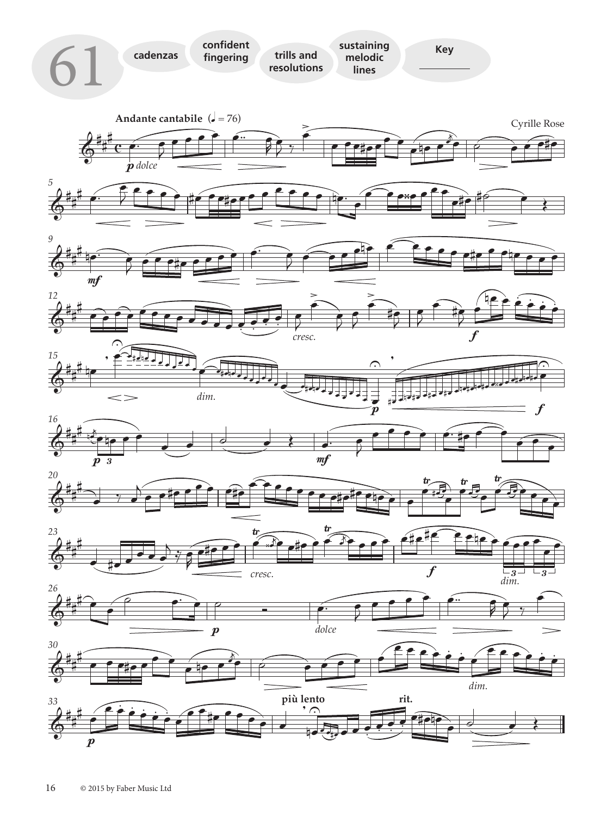